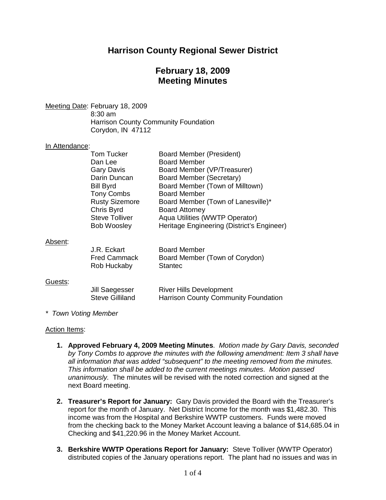# **Harrison County Regional Sewer District**

# **February 18, 2009 Meeting Minutes**

Meeting Date: February 18, 2009 8:30 am Harrison County Community Foundation Corydon, IN 47112

### In Attendance:

|         | Tom Tucker                               | <b>Board Member (President)</b>                                               |
|---------|------------------------------------------|-------------------------------------------------------------------------------|
|         | Dan Lee                                  | <b>Board Member</b>                                                           |
|         | <b>Gary Davis</b>                        | Board Member (VP/Treasurer)                                                   |
|         | Darin Duncan                             | Board Member (Secretary)                                                      |
|         | <b>Bill Byrd</b>                         | Board Member (Town of Milltown)                                               |
|         | <b>Tony Combs</b>                        | <b>Board Member</b>                                                           |
|         | <b>Rusty Sizemore</b>                    | Board Member (Town of Lanesville)*                                            |
|         | Chris Byrd                               | <b>Board Attorney</b>                                                         |
|         | <b>Steve Tolliver</b>                    | Aqua Utilities (WWTP Operator)                                                |
|         | <b>Bob Woosley</b>                       | Heritage Engineering (District's Engineer)                                    |
| Absent: |                                          |                                                                               |
|         | J.R. Eckart                              | <b>Board Member</b>                                                           |
|         | <b>Fred Cammack</b><br>Rob Huckaby       | Board Member (Town of Corydon)<br><b>Stantec</b>                              |
| Guests: |                                          |                                                                               |
|         | Jill Saegesser<br><b>Steve Gilliland</b> | <b>River Hills Development</b><br><b>Harrison County Community Foundation</b> |

*\* Town Voting Member*

#### Action Items:

**1. Approved February 4, 2009 Meeting Minutes**. *Motion made by Gary Davis, seconded by Tony Combs to approve the minutes with the following amendment: Item 3 shall have all information that was added "subsequent" to the meeting removed from the minutes. This information shall be added to the current meetings minutes. Motion passed unanimously.* The minutes will be revised with the noted correction and signed at the next Board meeting.

- **2. Treasurer's Report for January:** Gary Davis provided the Board with the Treasurer's report for the month of January. Net District Income for the month was \$1,482.30. This income was from the Hospital and Berkshire WWTP customers. Funds were moved from the checking back to the Money Market Account leaving a balance of \$14,685.04 in Checking and \$41,220.96 in the Money Market Account.
- **3. Berkshire WWTP Operations Report for January:** Steve Tolliver (WWTP Operator) distributed copies of the January operations report. The plant had no issues and was in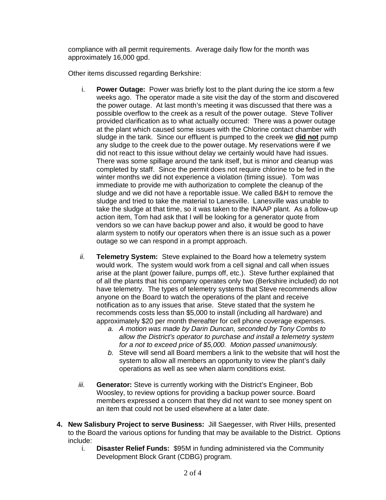compliance with all permit requirements. Average daily flow for the month was approximately 16,000 gpd.

Other items discussed regarding Berkshire:

- i. **Power Outage:** Power was briefly lost to the plant during the ice storm a few weeks ago. The operator made a site visit the day of the storm and discovered the power outage. At last month's meeting it was discussed that there was a possible overflow to the creek as a result of the power outage. Steve Tolliver provided clarification as to what actually occurred: There was a power outage at the plant which caused some issues with the Chlorine contact chamber with sludge in the tank. Since our effluent is pumped to the creek we **did not** pump any sludge to the creek due to the power outage. My reservations were if we did not react to this issue without delay we certainly would have had issues. There was some spillage around the tank itself, but is minor and cleanup was completed by staff. Since the permit does not require chlorine to be fed in the winter months we did not experience a violation (timing issue). Tom was immediate to provide me with authorization to complete the cleanup of the sludge and we did not have a reportable issue. We called B&H to remove the sludge and tried to take the material to Lanesville. Lanesville was unable to take the sludge at that time, so it was taken to the INAAP plant. As a follow-up action item, Tom had ask that I will be looking for a generator quote from vendors so we can have backup power and also, it would be good to have alarm system to notify our operators when there is an issue such as a power outage so we can respond in a prompt approach.
- *ii.* **Telemetry System:** Steve explained to the Board how a telemetry system would work. The system would work from a cell signal and call when issues arise at the plant (power failure, pumps off, etc.). Steve further explained that of all the plants that his company operates only two (Berkshire included) do not have telemetry. The types of telemetry systems that Steve recommends allow anyone on the Board to watch the operations of the plant and receive notification as to any issues that arise. Steve stated that the system he recommends costs less than \$5,000 to install (including all hardware) and approximately \$20 per month thereafter for cell phone coverage expenses.
	- *a. A motion was made by Darin Duncan, seconded by Tony Combs to allow the District's operator to purchase and install a telemetry system for a not to exceed price of \$5,000. Motion passed unanimously.*
	- *b.* Steve will send all Board members a link to the website that will host the system to allow all members an opportunity to view the plant's daily operations as well as see when alarm conditions exist.
- *iii.* **Generator:** Steve is currently working with the District's Engineer, Bob Woosley, to review options for providing a backup power source. Board members expressed a concern that they did not want to see money spent on an item that could not be used elsewhere at a later date.
- **4. New Salisbury Project to serve Business:** Jill Saegesser, with River Hills, presented to the Board the various options for funding that may be available to the District. Options include:
	- i. **Disaster Relief Funds:** \$95M in funding administered via the Community Development Block Grant (CDBG) program.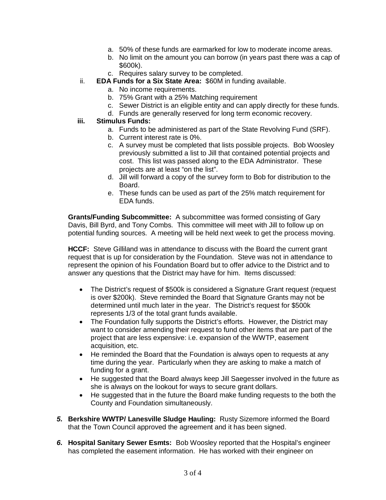- a. 50% of these funds are earmarked for low to moderate income areas.
- b. No limit on the amount you can borrow (in years past there was a cap of \$600k).
- c. Requires salary survey to be completed.
- ii. **EDA Funds for a Six State Area:** \$60M in funding available.
	- a. No income requirements.
		- b. 75% Grant with a 25% Matching requirement
		- c. Sewer District is an eligible entity and can apply directly for these funds.
	- d. Funds are generally reserved for long term economic recovery.
- **iii. Stimulus Funds:**
	- a. Funds to be administered as part of the State Revolving Fund (SRF).
	- b. Current interest rate is 0%.
	- c. A survey must be completed that lists possible projects. Bob Woosley previously submitted a list to Jill that contained potential projects and cost. This list was passed along to the EDA Administrator. These projects are at least "on the list".
	- d. Jill will forward a copy of the survey form to Bob for distribution to the Board.
	- e. These funds can be used as part of the 25% match requirement for EDA funds.

**Grants/Funding Subcommittee:** A subcommittee was formed consisting of Gary Davis, Bill Byrd, and Tony Combs. This committee will meet with Jill to follow up on potential funding sources. A meeting will be held next week to get the process moving.

**HCCF:** Steve Gilliland was in attendance to discuss with the Board the current grant request that is up for consideration by the Foundation. Steve was not in attendance to represent the opinion of his Foundation Board but to offer advice to the District and to answer any questions that the District may have for him. Items discussed:

- · The District's request of \$500k is considered a Signature Grant request (request is over \$200k). Steve reminded the Board that Signature Grants may not be determined until much later in the year. The District's request for \$500k represents 1/3 of the total grant funds available.
- · The Foundation fully supports the District's efforts. However, the District may want to consider amending their request to fund other items that are part of the project that are less expensive: i.e. expansion of the WWTP, easement acquisition, etc.
- · He reminded the Board that the Foundation is always open to requests at any time during the year. Particularly when they are asking to make a match of funding for a grant.
- · He suggested that the Board always keep Jill Saegesser involved in the future as she is always on the lookout for ways to secure grant dollars.
- · He suggested that in the future the Board make funding requests to the both the County and Foundation simultaneously.
- *5.* **Berkshire WWTP/ Lanesville Sludge Hauling:** Rusty Sizemore informed the Board that the Town Council approved the agreement and it has been signed.
- *6.* **Hospital Sanitary Sewer Esmts:** Bob Woosley reported that the Hospital's engineer has completed the easement information. He has worked with their engineer on